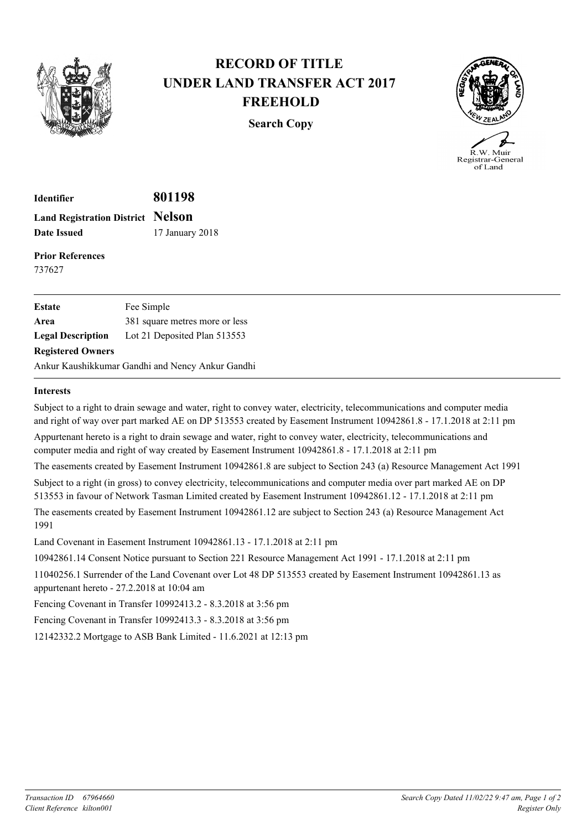

## **RECORD OF TITLE UNDER LAND TRANSFER ACT 2017 FREEHOLD**

**Search Copy**



Registrar-General of Land

**Identifier 801198 Land Registration District Nelson Date Issued** 17 January 2018

**Prior References** 737627

| <b>Estate</b>            | Fee Simple                                       |
|--------------------------|--------------------------------------------------|
| Area                     | 381 square metres more or less                   |
| <b>Legal Description</b> | Lot 21 Deposited Plan 513553                     |
| <b>Registered Owners</b> |                                                  |
|                          | Ankur Kaushikkumar Gandhi and Nency Ankur Gandhi |

## **Interests**

Subject to a right to drain sewage and water, right to convey water, electricity, telecommunications and computer media and right of way over part marked AE on DP 513553 created by Easement Instrument 10942861.8 - 17.1.2018 at 2:11 pm Appurtenant hereto is a right to drain sewage and water, right to convey water, electricity, telecommunications and computer media and right of way created by Easement Instrument 10942861.8 - 17.1.2018 at 2:11 pm The easements created by Easement Instrument 10942861.8 are subject to Section 243 (a) Resource Management Act 1991 Subject to a right (in gross) to convey electricity, telecommunications and computer media over part marked AE on DP 513553 in favour of Network Tasman Limited created by Easement Instrument 10942861.12 - 17.1.2018 at 2:11 pm The easements created by Easement Instrument 10942861.12 are subject to Section 243 (a) Resource Management Act 1991 Land Covenant in Easement Instrument 10942861.13 - 17.1.2018 at 2:11 pm 10942861.14 Consent Notice pursuant to Section 221 Resource Management Act 1991 - 17.1.2018 at 2:11 pm

11040256.1 Surrender of the Land Covenant over Lot 48 DP 513553 created by Easement Instrument 10942861.13 as appurtenant hereto - 27.2.2018 at 10:04 am

Fencing Covenant in Transfer 10992413.2 - 8.3.2018 at 3:56 pm

Fencing Covenant in Transfer 10992413.3 - 8.3.2018 at 3:56 pm

12142332.2 Mortgage to ASB Bank Limited - 11.6.2021 at 12:13 pm